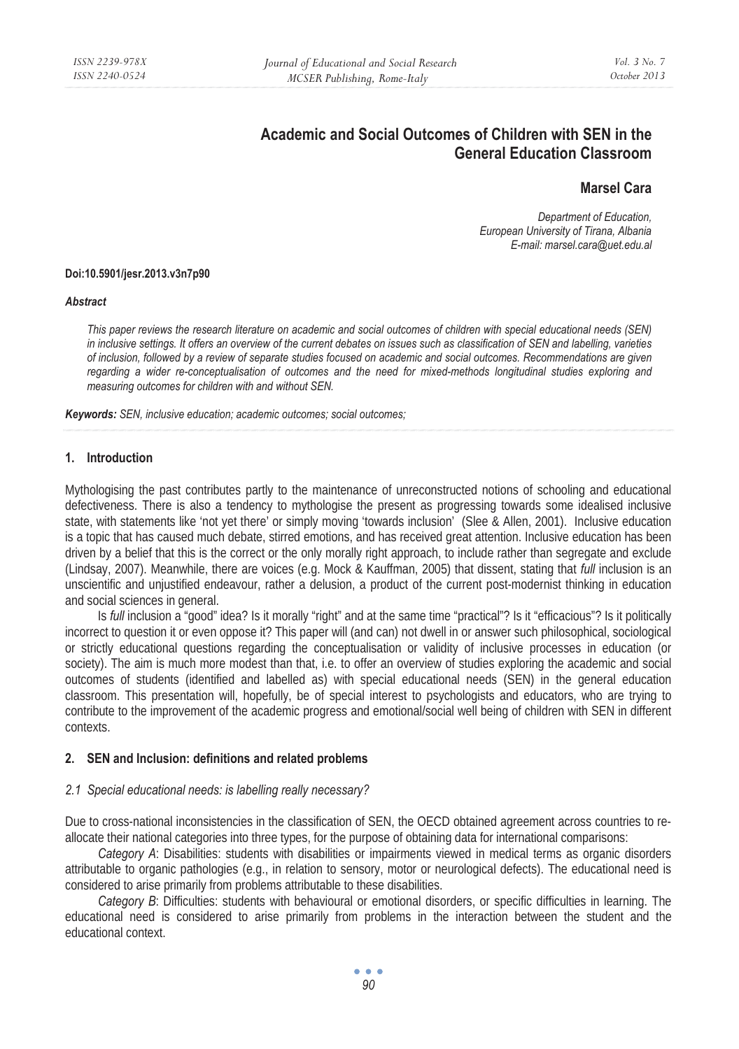# **Academic and Social Outcomes of Children with SEN in the General Education Classroom**

## **Marsel Cara**

*Department of Education, European University of Tirana, Albania E-mail: marsel.cara@uet.edu.al* 

#### **Doi:10.5901/jesr.2013.v3n7p90**

#### *Abstract*

*This paper reviews the research literature on academic and social outcomes of children with special educational needs (SEN) in inclusive settings. It offers an overview of the current debates on issues such as classification of SEN and labelling, varieties of inclusion, followed by a review of separate studies focused on academic and social outcomes. Recommendations are given regarding a wider re-conceptualisation of outcomes and the need for mixed-methods longitudinal studies exploring and measuring outcomes for children with and without SEN.* 

*Keywords: SEN, inclusive education; academic outcomes; social outcomes;* 

## **1. Introduction**

Mythologising the past contributes partly to the maintenance of unreconstructed notions of schooling and educational defectiveness. There is also a tendency to mythologise the present as progressing towards some idealised inclusive state, with statements like 'not yet there' or simply moving 'towards inclusion' (Slee & Allen, 2001). Inclusive education is a topic that has caused much debate, stirred emotions, and has received great attention. Inclusive education has been driven by a belief that this is the correct or the only morally right approach, to include rather than segregate and exclude (Lindsay, 2007). Meanwhile, there are voices (e.g. Mock & Kauffman, 2005) that dissent, stating that *full* inclusion is an unscientific and unjustified endeavour, rather a delusion, a product of the current post-modernist thinking in education and social sciences in general.

Is *full* inclusion a "good" idea? Is it morally "right" and at the same time "practical"? Is it "efficacious"? Is it politically incorrect to question it or even oppose it? This paper will (and can) not dwell in or answer such philosophical, sociological or strictly educational questions regarding the conceptualisation or validity of inclusive processes in education (or society). The aim is much more modest than that, i.e. to offer an overview of studies exploring the academic and social outcomes of students (identified and labelled as) with special educational needs (SEN) in the general education classroom. This presentation will, hopefully, be of special interest to psychologists and educators, who are trying to contribute to the improvement of the academic progress and emotional/social well being of children with SEN in different contexts.

## **2. SEN and Inclusion: definitions and related problems**

## *2.1 Special educational needs: is labelling really necessary?*

Due to cross-national inconsistencies in the classification of SEN, the OECD obtained agreement across countries to reallocate their national categories into three types, for the purpose of obtaining data for international comparisons:

*Category A*: Disabilities: students with disabilities or impairments viewed in medical terms as organic disorders attributable to organic pathologies (e.g., in relation to sensory, motor or neurological defects). The educational need is considered to arise primarily from problems attributable to these disabilities.

*Category B*: Difficulties: students with behavioural or emotional disorders, or specific difficulties in learning. The educational need is considered to arise primarily from problems in the interaction between the student and the educational context.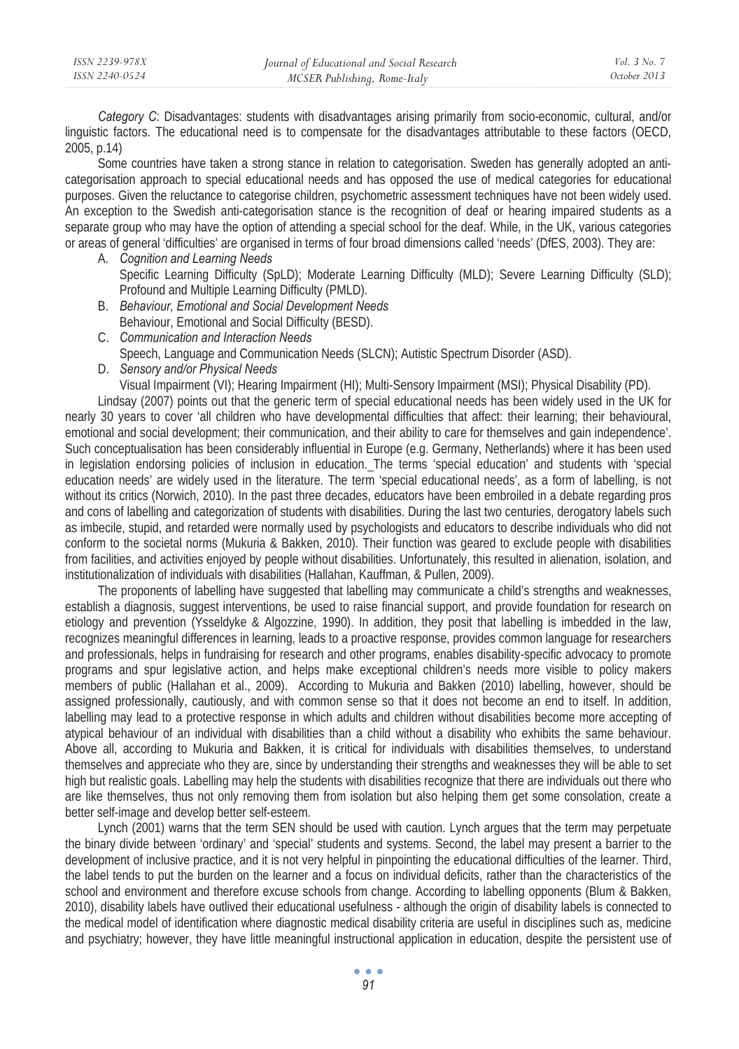| ISSN 2239-978X | Journal of Educational and Social Research | Vol. 3 No. 7 |
|----------------|--------------------------------------------|--------------|
| ISSN 2240-0524 | MCSER Publishing, Rome-Italy               | October 2013 |
|                |                                            |              |

*Category C*: Disadvantages: students with disadvantages arising primarily from socio-economic, cultural, and/or linguistic factors. The educational need is to compensate for the disadvantages attributable to these factors (OECD, 2005, p.14)

Some countries have taken a strong stance in relation to categorisation. Sweden has generally adopted an anticategorisation approach to special educational needs and has opposed the use of medical categories for educational purposes. Given the reluctance to categorise children, psychometric assessment techniques have not been widely used. An exception to the Swedish anti-categorisation stance is the recognition of deaf or hearing impaired students as a separate group who may have the option of attending a special school for the deaf. While, in the UK, various categories or areas of general 'difficulties' are organised in terms of four broad dimensions called 'needs' (DfES, 2003). They are:

- A. *Cognition and Learning Needs* Specific Learning Difficulty (SpLD); Moderate Learning Difficulty (MLD); Severe Learning Difficulty (SLD); Profound and Multiple Learning Difficulty (PMLD).
- B. *Behaviour, Emotional and Social Development Needs* Behaviour, Emotional and Social Difficulty (BESD).
- C. *Communication and Interaction Needs* Speech, Language and Communication Needs (SLCN); Autistic Spectrum Disorder (ASD).
- D. *Sensory and/or Physical Needs*

Visual Impairment (VI); Hearing Impairment (HI); Multi-Sensory Impairment (MSI); Physical Disability (PD).

Lindsay (2007) points out that the generic term of special educational needs has been widely used in the UK for nearly 30 years to cover 'all children who have developmental difficulties that affect: their learning; their behavioural, emotional and social development; their communication, and their ability to care for themselves and gain independence'. Such conceptualisation has been considerably influential in Europe (e.g. Germany, Netherlands) where it has been used in legislation endorsing policies of inclusion in education. The terms 'special education' and students with 'special education needs' are widely used in the literature. The term 'special educational needs', as a form of labelling, is not without its critics (Norwich, 2010). In the past three decades, educators have been embroiled in a debate regarding pros and cons of labelling and categorization of students with disabilities. During the last two centuries, derogatory labels such as imbecile, stupid, and retarded were normally used by psychologists and educators to describe individuals who did not conform to the societal norms (Mukuria & Bakken, 2010). Their function was geared to exclude people with disabilities from facilities, and activities enjoyed by people without disabilities. Unfortunately, this resulted in alienation, isolation, and institutionalization of individuals with disabilities (Hallahan, Kauffman, & Pullen, 2009).

The proponents of labelling have suggested that labelling may communicate a child's strengths and weaknesses, establish a diagnosis, suggest interventions, be used to raise financial support, and provide foundation for research on etiology and prevention (Ysseldyke & Algozzine, 1990). In addition, they posit that labelling is imbedded in the law, recognizes meaningful differences in learning, leads to a proactive response, provides common language for researchers and professionals, helps in fundraising for research and other programs, enables disability-specific advocacy to promote programs and spur legislative action, and helps make exceptional children's needs more visible to policy makers members of public (Hallahan et al., 2009). According to Mukuria and Bakken (2010) labelling, however, should be assigned professionally, cautiously, and with common sense so that it does not become an end to itself. In addition, labelling may lead to a protective response in which adults and children without disabilities become more accepting of atypical behaviour of an individual with disabilities than a child without a disability who exhibits the same behaviour. Above all, according to Mukuria and Bakken, it is critical for individuals with disabilities themselves, to understand themselves and appreciate who they are, since by understanding their strengths and weaknesses they will be able to set high but realistic goals. Labelling may help the students with disabilities recognize that there are individuals out there who are like themselves, thus not only removing them from isolation but also helping them get some consolation, create a better self-image and develop better self-esteem.

Lynch (2001) warns that the term SEN should be used with caution. Lynch argues that the term may perpetuate the binary divide between 'ordinary' and 'special' students and systems. Second, the label may present a barrier to the development of inclusive practice, and it is not very helpful in pinpointing the educational difficulties of the learner. Third, the label tends to put the burden on the learner and a focus on individual deficits, rather than the characteristics of the school and environment and therefore excuse schools from change. According to labelling opponents (Blum & Bakken, 2010), disability labels have outlived their educational usefulness - although the origin of disability labels is connected to the medical model of identification where diagnostic medical disability criteria are useful in disciplines such as, medicine and psychiatry; however, they have little meaningful instructional application in education, despite the persistent use of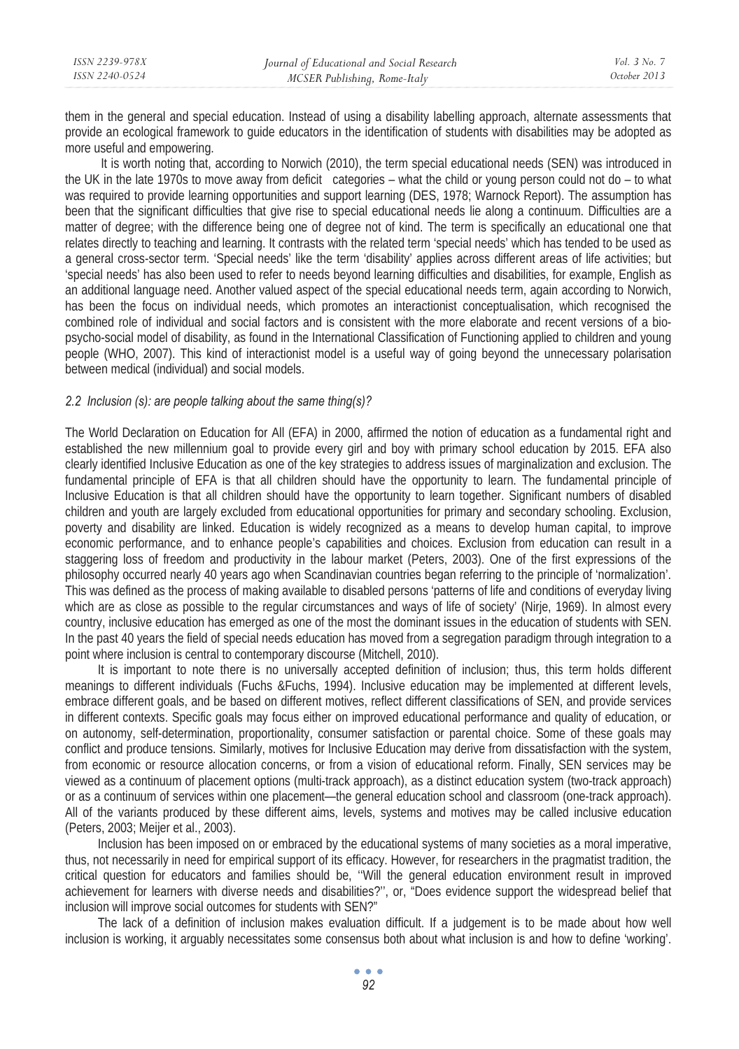| ISSN 2239-978X | Journal of Educational and Social Research | Vol. 3 No. 7 |
|----------------|--------------------------------------------|--------------|
| ISSN 2240-0524 | MCSER Publishing, Rome-Italy               | October 2013 |
|                |                                            |              |

them in the general and special education. Instead of using a disability labelling approach, alternate assessments that provide an ecological framework to guide educators in the identification of students with disabilities may be adopted as more useful and empowering.

 It is worth noting that, according to Norwich (2010), the term special educational needs (SEN) was introduced in the UK in the late 1970s to move away from deficit categories – what the child or young person could not do – to what was required to provide learning opportunities and support learning (DES, 1978; Warnock Report). The assumption has been that the significant difficulties that give rise to special educational needs lie along a continuum. Difficulties are a matter of degree; with the difference being one of degree not of kind. The term is specifically an educational one that relates directly to teaching and learning. It contrasts with the related term 'special needs' which has tended to be used as a general cross-sector term. 'Special needs' like the term 'disability' applies across different areas of life activities; but 'special needs' has also been used to refer to needs beyond learning difficulties and disabilities, for example, English as an additional language need. Another valued aspect of the special educational needs term, again according to Norwich, has been the focus on individual needs, which promotes an interactionist conceptualisation, which recognised the combined role of individual and social factors and is consistent with the more elaborate and recent versions of a biopsycho-social model of disability, as found in the International Classification of Functioning applied to children and young people (WHO, 2007). This kind of interactionist model is a useful way of going beyond the unnecessary polarisation between medical (individual) and social models.

#### *2.2 Inclusion (s): are people talking about the same thing(s)?*

The World Declaration on Education for All (EFA) in 2000, affirmed the notion of education as a fundamental right and established the new millennium goal to provide every girl and boy with primary school education by 2015. EFA also clearly identified Inclusive Education as one of the key strategies to address issues of marginalization and exclusion. The fundamental principle of EFA is that all children should have the opportunity to learn. The fundamental principle of Inclusive Education is that all children should have the opportunity to learn together. Significant numbers of disabled children and youth are largely excluded from educational opportunities for primary and secondary schooling. Exclusion, poverty and disability are linked. Education is widely recognized as a means to develop human capital, to improve economic performance, and to enhance people's capabilities and choices. Exclusion from education can result in a staggering loss of freedom and productivity in the labour market (Peters, 2003). One of the first expressions of the philosophy occurred nearly 40 years ago when Scandinavian countries began referring to the principle of 'normalization'. This was defined as the process of making available to disabled persons 'patterns of life and conditions of everyday living which are as close as possible to the regular circumstances and ways of life of society' (Nirje, 1969). In almost every country, inclusive education has emerged as one of the most the dominant issues in the education of students with SEN. In the past 40 years the field of special needs education has moved from a segregation paradigm through integration to a point where inclusion is central to contemporary discourse (Mitchell, 2010).

It is important to note there is no universally accepted definition of inclusion; thus, this term holds different meanings to different individuals (Fuchs &Fuchs, 1994). Inclusive education may be implemented at different levels, embrace different goals, and be based on different motives, reflect different classifications of SEN, and provide services in different contexts. Specific goals may focus either on improved educational performance and quality of education, or on autonomy, self-determination, proportionality, consumer satisfaction or parental choice. Some of these goals may conflict and produce tensions. Similarly, motives for Inclusive Education may derive from dissatisfaction with the system, from economic or resource allocation concerns, or from a vision of educational reform. Finally, SEN services may be viewed as a continuum of placement options (multi-track approach), as a distinct education system (two-track approach) or as a continuum of services within one placement—the general education school and classroom (one-track approach). All of the variants produced by these different aims, levels, systems and motives may be called inclusive education (Peters, 2003; Meijer et al., 2003).

Inclusion has been imposed on or embraced by the educational systems of many societies as a moral imperative, thus, not necessarily in need for empirical support of its efficacy. However, for researchers in the pragmatist tradition, the critical question for educators and families should be, ''Will the general education environment result in improved achievement for learners with diverse needs and disabilities?'', or, "Does evidence support the widespread belief that inclusion will improve social outcomes for students with SEN?"

The lack of a definition of inclusion makes evaluation difficult. If a judgement is to be made about how well inclusion is working, it arguably necessitates some consensus both about what inclusion is and how to define 'working'.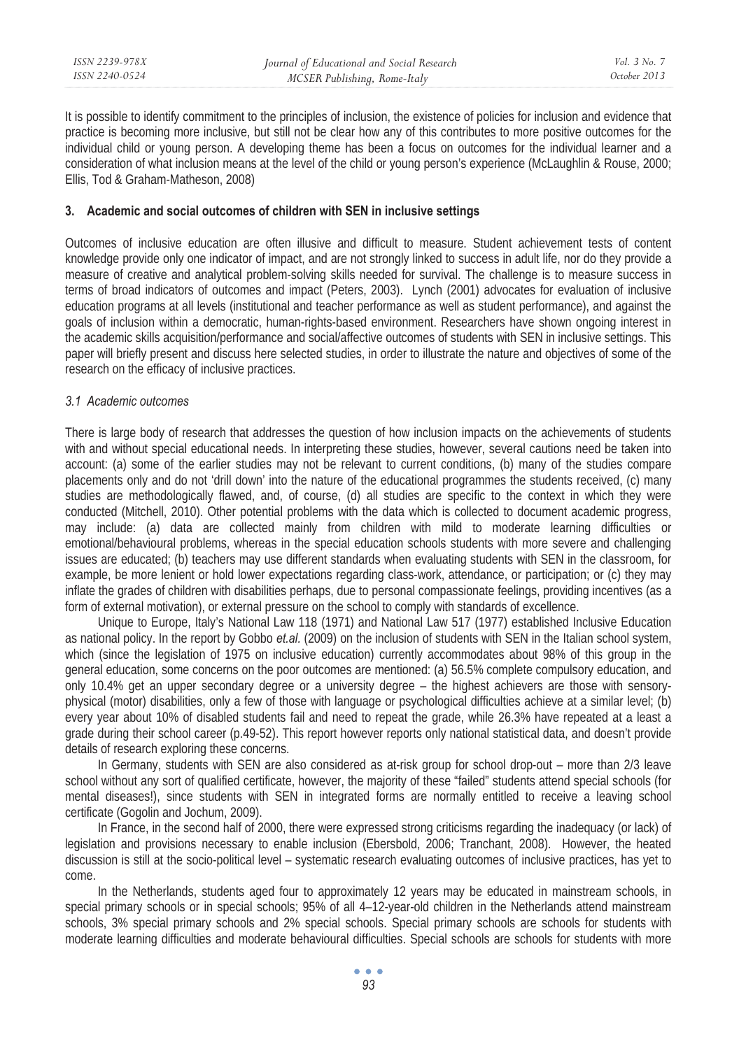It is possible to identify commitment to the principles of inclusion, the existence of policies for inclusion and evidence that practice is becoming more inclusive, but still not be clear how any of this contributes to more positive outcomes for the individual child or young person. A developing theme has been a focus on outcomes for the individual learner and a consideration of what inclusion means at the level of the child or young person's experience (McLaughlin & Rouse, 2000; Ellis, Tod & Graham-Matheson, 2008)

## **3. Academic and social outcomes of children with SEN in inclusive settings**

Outcomes of inclusive education are often illusive and difficult to measure. Student achievement tests of content knowledge provide only one indicator of impact, and are not strongly linked to success in adult life, nor do they provide a measure of creative and analytical problem-solving skills needed for survival. The challenge is to measure success in terms of broad indicators of outcomes and impact (Peters, 2003). Lynch (2001) advocates for evaluation of inclusive education programs at all levels (institutional and teacher performance as well as student performance), and against the goals of inclusion within a democratic, human-rights-based environment. Researchers have shown ongoing interest in the academic skills acquisition/performance and social/affective outcomes of students with SEN in inclusive settings. This paper will briefly present and discuss here selected studies, in order to illustrate the nature and objectives of some of the research on the efficacy of inclusive practices.

## *3.1 Academic outcomes*

There is large body of research that addresses the question of how inclusion impacts on the achievements of students with and without special educational needs. In interpreting these studies, however, several cautions need be taken into account: (a) some of the earlier studies may not be relevant to current conditions, (b) many of the studies compare placements only and do not 'drill down' into the nature of the educational programmes the students received, (c) many studies are methodologically flawed, and, of course, (d) all studies are specific to the context in which they were conducted (Mitchell, 2010). Other potential problems with the data which is collected to document academic progress, may include: (a) data are collected mainly from children with mild to moderate learning difficulties or emotional/behavioural problems, whereas in the special education schools students with more severe and challenging issues are educated; (b) teachers may use different standards when evaluating students with SEN in the classroom, for example, be more lenient or hold lower expectations regarding class-work, attendance, or participation; or (c) they may inflate the grades of children with disabilities perhaps, due to personal compassionate feelings, providing incentives (as a form of external motivation), or external pressure on the school to comply with standards of excellence.

Unique to Europe, Italy's National Law 118 (1971) and National Law 517 (1977) established Inclusive Education as national policy. In the report by Gobbo *et.al.* (2009) on the inclusion of students with SEN in the Italian school system, which (since the legislation of 1975 on inclusive education) currently accommodates about 98% of this group in the general education, some concerns on the poor outcomes are mentioned: (a) 56.5% complete compulsory education, and only 10.4% get an upper secondary degree or a university degree – the highest achievers are those with sensoryphysical (motor) disabilities, only a few of those with language or psychological difficulties achieve at a similar level; (b) every year about 10% of disabled students fail and need to repeat the grade, while 26.3% have repeated at a least a grade during their school career (p.49-52). This report however reports only national statistical data, and doesn't provide details of research exploring these concerns.

In Germany, students with SEN are also considered as at-risk group for school drop-out – more than 2/3 leave school without any sort of qualified certificate, however, the majority of these "failed" students attend special schools (for mental diseases!), since students with SEN in integrated forms are normally entitled to receive a leaving school certificate (Gogolin and Jochum, 2009).

In France, in the second half of 2000, there were expressed strong criticisms regarding the inadequacy (or lack) of legislation and provisions necessary to enable inclusion (Ebersbold, 2006; Tranchant, 2008). However, the heated discussion is still at the socio-political level – systematic research evaluating outcomes of inclusive practices, has yet to come.

In the Netherlands, students aged four to approximately 12 years may be educated in mainstream schools, in special primary schools or in special schools; 95% of all 4–12-year-old children in the Netherlands attend mainstream schools, 3% special primary schools and 2% special schools. Special primary schools are schools for students with moderate learning difficulties and moderate behavioural difficulties. Special schools are schools for students with more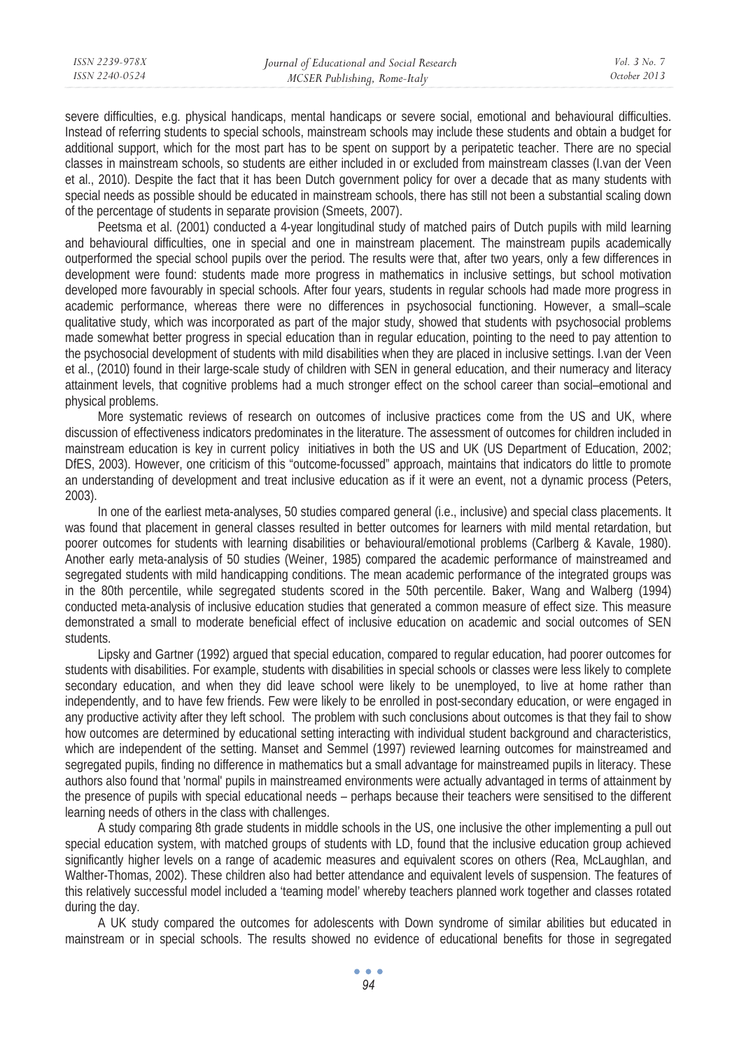| ISSN 2239-978X | Journal of Educational and Social Research | Vol. 3 No. 7 |
|----------------|--------------------------------------------|--------------|
| ISSN 2240-0524 | MCSER Publishing, Rome-Italy               | October 2013 |
|                |                                            |              |

severe difficulties, e.g. physical handicaps, mental handicaps or severe social, emotional and behavioural difficulties. Instead of referring students to special schools, mainstream schools may include these students and obtain a budget for additional support, which for the most part has to be spent on support by a peripatetic teacher. There are no special classes in mainstream schools, so students are either included in or excluded from mainstream classes (I.van der Veen et al., 2010). Despite the fact that it has been Dutch government policy for over a decade that as many students with special needs as possible should be educated in mainstream schools, there has still not been a substantial scaling down of the percentage of students in separate provision (Smeets, 2007).

Peetsma et al. (2001) conducted a 4-year longitudinal study of matched pairs of Dutch pupils with mild learning and behavioural difficulties, one in special and one in mainstream placement. The mainstream pupils academically outperformed the special school pupils over the period. The results were that, after two years, only a few differences in development were found: students made more progress in mathematics in inclusive settings, but school motivation developed more favourably in special schools. After four years, students in regular schools had made more progress in academic performance, whereas there were no differences in psychosocial functioning. However, a small–scale qualitative study, which was incorporated as part of the major study, showed that students with psychosocial problems made somewhat better progress in special education than in regular education, pointing to the need to pay attention to the psychosocial development of students with mild disabilities when they are placed in inclusive settings. I.van der Veen et al., (2010) found in their large-scale study of children with SEN in general education, and their numeracy and literacy attainment levels, that cognitive problems had a much stronger effect on the school career than social–emotional and physical problems.

More systematic reviews of research on outcomes of inclusive practices come from the US and UK, where discussion of effectiveness indicators predominates in the literature. The assessment of outcomes for children included in mainstream education is key in current policy initiatives in both the US and UK (US Department of Education, 2002; DfES, 2003). However, one criticism of this "outcome-focussed" approach, maintains that indicators do little to promote an understanding of development and treat inclusive education as if it were an event, not a dynamic process (Peters, 2003).

In one of the earliest meta-analyses, 50 studies compared general (i.e., inclusive) and special class placements. It was found that placement in general classes resulted in better outcomes for learners with mild mental retardation, but poorer outcomes for students with learning disabilities or behavioural/emotional problems (Carlberg & Kavale, 1980). Another early meta-analysis of 50 studies (Weiner, 1985) compared the academic performance of mainstreamed and segregated students with mild handicapping conditions. The mean academic performance of the integrated groups was in the 80th percentile, while segregated students scored in the 50th percentile. Baker, Wang and Walberg (1994) conducted meta-analysis of inclusive education studies that generated a common measure of effect size. This measure demonstrated a small to moderate beneficial effect of inclusive education on academic and social outcomes of SEN students.

Lipsky and Gartner (1992) argued that special education, compared to regular education, had poorer outcomes for students with disabilities. For example, students with disabilities in special schools or classes were less likely to complete secondary education, and when they did leave school were likely to be unemployed, to live at home rather than independently, and to have few friends. Few were likely to be enrolled in post-secondary education, or were engaged in any productive activity after they left school. The problem with such conclusions about outcomes is that they fail to show how outcomes are determined by educational setting interacting with individual student background and characteristics, which are independent of the setting. Manset and Semmel (1997) reviewed learning outcomes for mainstreamed and segregated pupils, finding no difference in mathematics but a small advantage for mainstreamed pupils in literacy. These authors also found that 'normal' pupils in mainstreamed environments were actually advantaged in terms of attainment by the presence of pupils with special educational needs – perhaps because their teachers were sensitised to the different learning needs of others in the class with challenges.

A study comparing 8th grade students in middle schools in the US, one inclusive the other implementing a pull out special education system, with matched groups of students with LD, found that the inclusive education group achieved significantly higher levels on a range of academic measures and equivalent scores on others (Rea, McLaughlan, and Walther-Thomas, 2002). These children also had better attendance and equivalent levels of suspension. The features of this relatively successful model included a 'teaming model' whereby teachers planned work together and classes rotated during the day.

A UK study compared the outcomes for adolescents with Down syndrome of similar abilities but educated in mainstream or in special schools. The results showed no evidence of educational benefits for those in segregated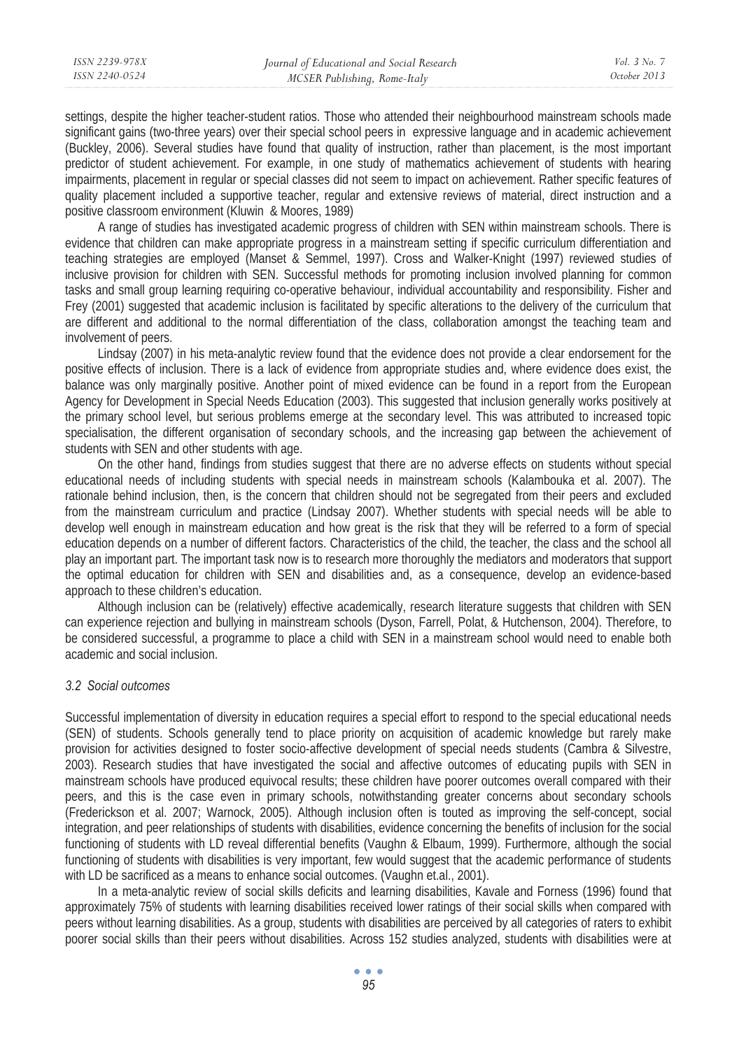| ISSN 2239-978X | Journal of Educational and Social Research | Vol. 3 No. 5 |
|----------------|--------------------------------------------|--------------|
| ISSN 2240-0524 | MCSER Publishing, Rome-Italy               | October 2013 |
|                |                                            |              |

settings, despite the higher teacher-student ratios. Those who attended their neighbourhood mainstream schools made significant gains (two-three years) over their special school peers in expressive language and in academic achievement (Buckley, 2006). Several studies have found that quality of instruction, rather than placement, is the most important predictor of student achievement. For example, in one study of mathematics achievement of students with hearing impairments, placement in regular or special classes did not seem to impact on achievement. Rather specific features of quality placement included a supportive teacher, regular and extensive reviews of material, direct instruction and a positive classroom environment (Kluwin & Moores, 1989)

A range of studies has investigated academic progress of children with SEN within mainstream schools. There is evidence that children can make appropriate progress in a mainstream setting if specific curriculum differentiation and teaching strategies are employed (Manset & Semmel, 1997). Cross and Walker-Knight (1997) reviewed studies of inclusive provision for children with SEN. Successful methods for promoting inclusion involved planning for common tasks and small group learning requiring co-operative behaviour, individual accountability and responsibility. Fisher and Frey (2001) suggested that academic inclusion is facilitated by specific alterations to the delivery of the curriculum that are different and additional to the normal differentiation of the class, collaboration amongst the teaching team and involvement of peers.

Lindsay (2007) in his meta-analytic review found that the evidence does not provide a clear endorsement for the positive effects of inclusion. There is a lack of evidence from appropriate studies and, where evidence does exist, the balance was only marginally positive. Another point of mixed evidence can be found in a report from the European Agency for Development in Special Needs Education (2003). This suggested that inclusion generally works positively at the primary school level, but serious problems emerge at the secondary level. This was attributed to increased topic specialisation, the different organisation of secondary schools, and the increasing gap between the achievement of students with SEN and other students with age.

On the other hand, findings from studies suggest that there are no adverse effects on students without special educational needs of including students with special needs in mainstream schools (Kalambouka et al. 2007). The rationale behind inclusion, then, is the concern that children should not be segregated from their peers and excluded from the mainstream curriculum and practice (Lindsay 2007). Whether students with special needs will be able to develop well enough in mainstream education and how great is the risk that they will be referred to a form of special education depends on a number of different factors. Characteristics of the child, the teacher, the class and the school all play an important part. The important task now is to research more thoroughly the mediators and moderators that support the optimal education for children with SEN and disabilities and, as a consequence, develop an evidence-based approach to these children's education.

Although inclusion can be (relatively) effective academically, research literature suggests that children with SEN can experience rejection and bullying in mainstream schools (Dyson, Farrell, Polat, & Hutchenson, 2004). Therefore, to be considered successful, a programme to place a child with SEN in a mainstream school would need to enable both academic and social inclusion.

## *3.2 Social outcomes*

Successful implementation of diversity in education requires a special effort to respond to the special educational needs (SEN) of students. Schools generally tend to place priority on acquisition of academic knowledge but rarely make provision for activities designed to foster socio-affective development of special needs students (Cambra & Silvestre, 2003). Research studies that have investigated the social and affective outcomes of educating pupils with SEN in mainstream schools have produced equivocal results; these children have poorer outcomes overall compared with their peers, and this is the case even in primary schools, notwithstanding greater concerns about secondary schools (Frederickson et al. 2007; Warnock, 2005). Although inclusion often is touted as improving the self-concept, social integration, and peer relationships of students with disabilities, evidence concerning the benefits of inclusion for the social functioning of students with LD reveal differential benefits (Vaughn & Elbaum, 1999). Furthermore, although the social functioning of students with disabilities is very important, few would suggest that the academic performance of students with LD be sacrificed as a means to enhance social outcomes. (Vaughn et.al., 2001).

In a meta-analytic review of social skills deficits and learning disabilities, Kavale and Forness (1996) found that approximately 75% of students with learning disabilities received lower ratings of their social skills when compared with peers without learning disabilities. As a group, students with disabilities are perceived by all categories of raters to exhibit poorer social skills than their peers without disabilities. Across 152 studies analyzed, students with disabilities were at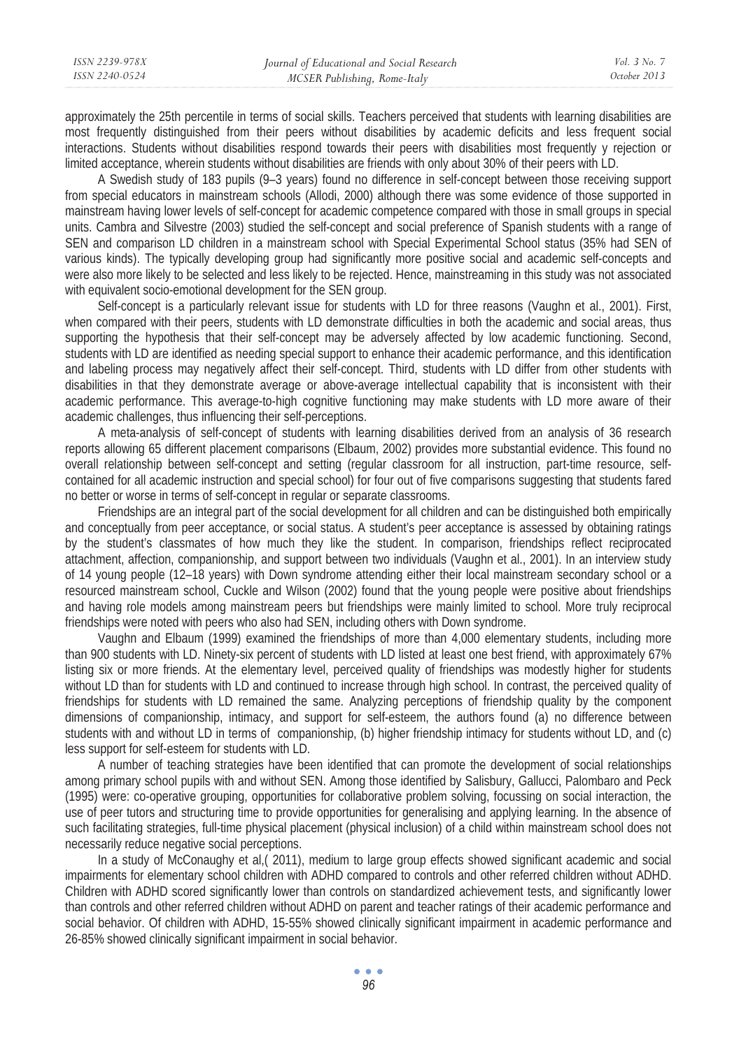| ISSN 2239-978X | Journal of Educational and Social Research | Vol. 3 No. 7 |
|----------------|--------------------------------------------|--------------|
| ISSN 2240-0524 | MCSER Publishing, Rome-Italy               | October 2013 |

approximately the 25th percentile in terms of social skills. Teachers perceived that students with learning disabilities are most frequently distinguished from their peers without disabilities by academic deficits and less frequent social interactions. Students without disabilities respond towards their peers with disabilities most frequently y rejection or limited acceptance, wherein students without disabilities are friends with only about 30% of their peers with LD.

A Swedish study of 183 pupils (9–3 years) found no difference in self-concept between those receiving support from special educators in mainstream schools (Allodi, 2000) although there was some evidence of those supported in mainstream having lower levels of self-concept for academic competence compared with those in small groups in special units. Cambra and Silvestre (2003) studied the self-concept and social preference of Spanish students with a range of SEN and comparison LD children in a mainstream school with Special Experimental School status (35% had SEN of various kinds). The typically developing group had significantly more positive social and academic self-concepts and were also more likely to be selected and less likely to be rejected. Hence, mainstreaming in this study was not associated with equivalent socio-emotional development for the SEN group.

Self-concept is a particularly relevant issue for students with LD for three reasons (Vaughn et al., 2001). First, when compared with their peers, students with LD demonstrate difficulties in both the academic and social areas, thus supporting the hypothesis that their self-concept may be adversely affected by low academic functioning. Second, students with LD are identified as needing special support to enhance their academic performance, and this identification and labeling process may negatively affect their self-concept. Third, students with LD differ from other students with disabilities in that they demonstrate average or above-average intellectual capability that is inconsistent with their academic performance. This average-to-high cognitive functioning may make students with LD more aware of their academic challenges, thus influencing their self-perceptions.

A meta-analysis of self-concept of students with learning disabilities derived from an analysis of 36 research reports allowing 65 different placement comparisons (Elbaum, 2002) provides more substantial evidence. This found no overall relationship between self-concept and setting (regular classroom for all instruction, part-time resource, selfcontained for all academic instruction and special school) for four out of five comparisons suggesting that students fared no better or worse in terms of self-concept in regular or separate classrooms.

Friendships are an integral part of the social development for all children and can be distinguished both empirically and conceptually from peer acceptance, or social status. A student's peer acceptance is assessed by obtaining ratings by the student's classmates of how much they like the student. In comparison, friendships reflect reciprocated attachment, affection, companionship, and support between two individuals (Vaughn et al., 2001). In an interview study of 14 young people (12–18 years) with Down syndrome attending either their local mainstream secondary school or a resourced mainstream school, Cuckle and Wilson (2002) found that the young people were positive about friendships and having role models among mainstream peers but friendships were mainly limited to school. More truly reciprocal friendships were noted with peers who also had SEN, including others with Down syndrome.

Vaughn and Elbaum (1999) examined the friendships of more than 4,000 elementary students, including more than 900 students with LD. Ninety-six percent of students with LD listed at least one best friend, with approximately 67% listing six or more friends. At the elementary level, perceived quality of friendships was modestly higher for students without LD than for students with LD and continued to increase through high school. In contrast, the perceived quality of friendships for students with LD remained the same. Analyzing perceptions of friendship quality by the component dimensions of companionship, intimacy, and support for self-esteem, the authors found (a) no difference between students with and without LD in terms of companionship, (b) higher friendship intimacy for students without LD, and (c) less support for self-esteem for students with LD.

A number of teaching strategies have been identified that can promote the development of social relationships among primary school pupils with and without SEN. Among those identified by Salisbury, Gallucci, Palombaro and Peck (1995) were: co-operative grouping, opportunities for collaborative problem solving, focussing on social interaction, the use of peer tutors and structuring time to provide opportunities for generalising and applying learning. In the absence of such facilitating strategies, full-time physical placement (physical inclusion) of a child within mainstream school does not necessarily reduce negative social perceptions.

In a study of McConaughy et al,( 2011), medium to large group effects showed significant academic and social impairments for elementary school children with ADHD compared to controls and other referred children without ADHD. Children with ADHD scored significantly lower than controls on standardized achievement tests, and significantly lower than controls and other referred children without ADHD on parent and teacher ratings of their academic performance and social behavior. Of children with ADHD, 15-55% showed clinically significant impairment in academic performance and 26-85% showed clinically significant impairment in social behavior.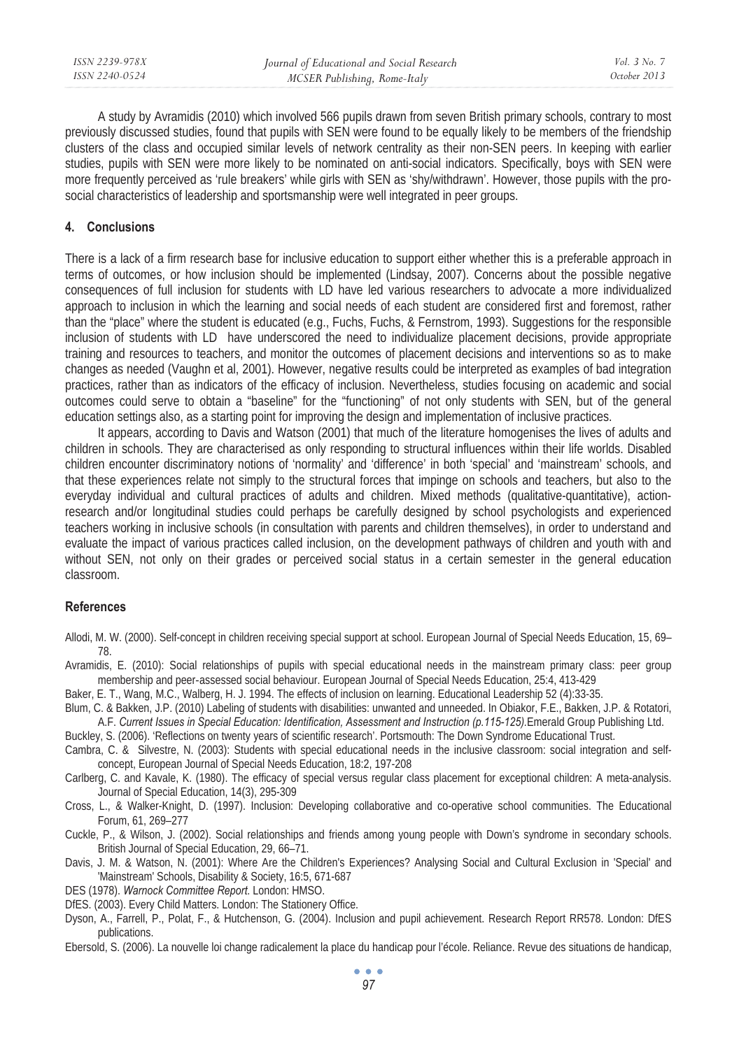A study by Avramidis (2010) which involved 566 pupils drawn from seven British primary schools, contrary to most previously discussed studies, found that pupils with SEN were found to be equally likely to be members of the friendship clusters of the class and occupied similar levels of network centrality as their non-SEN peers. In keeping with earlier studies, pupils with SEN were more likely to be nominated on anti-social indicators. Specifically, boys with SEN were more frequently perceived as 'rule breakers' while girls with SEN as 'shy/withdrawn'. However, those pupils with the prosocial characteristics of leadership and sportsmanship were well integrated in peer groups.

## **4. Conclusions**

There is a lack of a firm research base for inclusive education to support either whether this is a preferable approach in terms of outcomes, or how inclusion should be implemented (Lindsay, 2007). Concerns about the possible negative consequences of full inclusion for students with LD have led various researchers to advocate a more individualized approach to inclusion in which the learning and social needs of each student are considered first and foremost, rather than the "place" where the student is educated (e.g., Fuchs, Fuchs, & Fernstrom, 1993). Suggestions for the responsible inclusion of students with LD have underscored the need to individualize placement decisions, provide appropriate training and resources to teachers, and monitor the outcomes of placement decisions and interventions so as to make changes as needed (Vaughn et al, 2001). However, negative results could be interpreted as examples of bad integration practices, rather than as indicators of the efficacy of inclusion. Nevertheless, studies focusing on academic and social outcomes could serve to obtain a "baseline" for the "functioning" of not only students with SEN, but of the general education settings also, as a starting point for improving the design and implementation of inclusive practices.

It appears, according to Davis and Watson (2001) that much of the literature homogenises the lives of adults and children in schools. They are characterised as only responding to structural influences within their life worlds. Disabled children encounter discriminatory notions of 'normality' and 'difference' in both 'special' and 'mainstream' schools, and that these experiences relate not simply to the structural forces that impinge on schools and teachers, but also to the everyday individual and cultural practices of adults and children. Mixed methods (qualitative-quantitative), actionresearch and/or longitudinal studies could perhaps be carefully designed by school psychologists and experienced teachers working in inclusive schools (in consultation with parents and children themselves), in order to understand and evaluate the impact of various practices called inclusion, on the development pathways of children and youth with and without SEN, not only on their grades or perceived social status in a certain semester in the general education classroom.

## **References**

Allodi, M. W. (2000). Self-concept in children receiving special support at school. European Journal of Special Needs Education, 15, 69– 78.

Avramidis, E. (2010): Social relationships of pupils with special educational needs in the mainstream primary class: peer group membership and peer-assessed social behaviour. European Journal of Special Needs Education, 25:4, 413-429

Baker, E. T., Wang, M.C., Walberg, H. J. 1994. The effects of inclusion on learning. Educational Leadership 52 (4):33-35.

Blum, C. & Bakken, J.P. (2010) Labeling of students with disabilities: unwanted and unneeded. In Obiakor, F.E., Bakken, J.P. & Rotatori, A.F. *Current Issues in Special Education: Identification, Assessment and Instruction (p.115-125).*Emerald Group Publishing Ltd.

Buckley, S. (2006). 'Reflections on twenty years of scientific research'. Portsmouth: The Down Syndrome Educational Trust.

Cambra, C. & Silvestre, N. (2003): Students with special educational needs in the inclusive classroom: social integration and selfconcept, European Journal of Special Needs Education, 18:2, 197-208

Carlberg, C. and Kavale, K. (1980). The efficacy of special versus regular class placement for exceptional children: A meta-analysis. Journal of Special Education, 14(3), 295-309

Cross, L., & Walker-Knight, D. (1997). Inclusion: Developing collaborative and co-operative school communities. The Educational Forum, 61, 269–277

Cuckle, P., & Wilson, J. (2002). Social relationships and friends among young people with Down's syndrome in secondary schools. British Journal of Special Education, 29, 66–71.

Davis, J. M. & Watson, N. (2001): Where Are the Children's Experiences? Analysing Social and Cultural Exclusion in 'Special' and 'Mainstream' Schools, Disability & Society, 16:5, 671-687

DES (1978). *Warnock Committee Report.* London: HMSO.

DfES. (2003). Every Child Matters. London: The Stationery Office.

Dyson, A., Farrell, P., Polat, F., & Hutchenson, G. (2004). Inclusion and pupil achievement. Research Report RR578. London: DfES publications.

Ebersold, S. (2006). La nouvelle loi change radicalement la place du handicap pour l'école. Reliance. Revue des situations de handicap,

 $\bullet$   $\bullet$   $\bullet$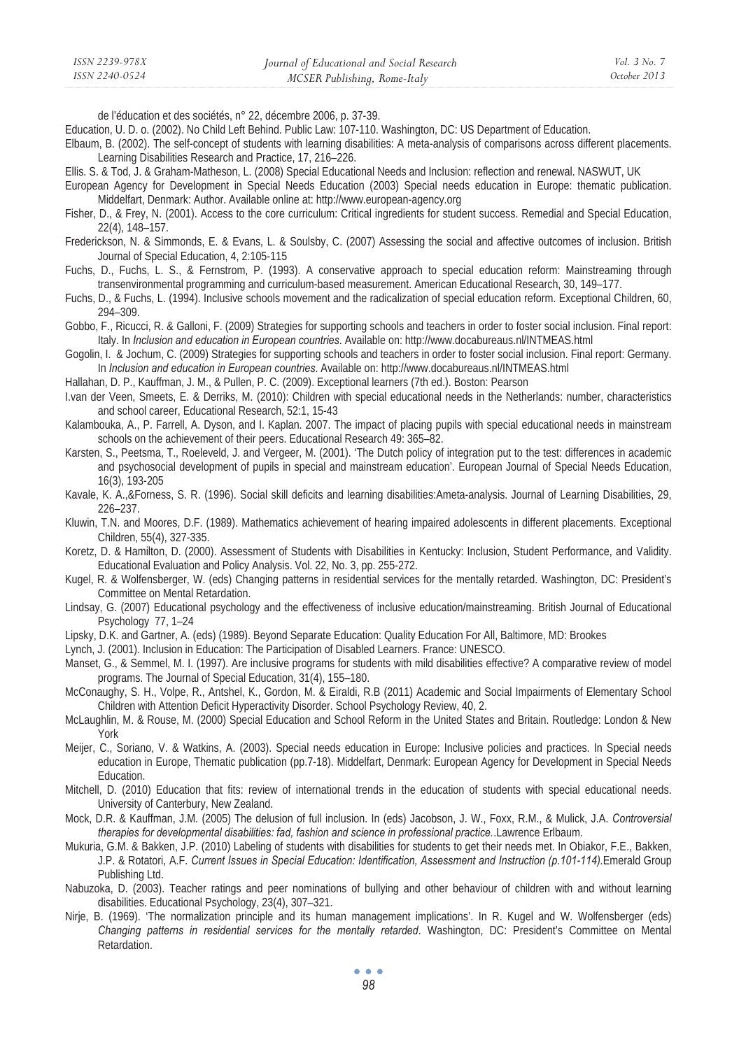de l'éducation et des sociétés, n° 22, décembre 2006, p. 37-39.

- Education, U. D. o. (2002). No Child Left Behind. Public Law: 107-110. Washington, DC: US Department of Education.
- Elbaum, B. (2002). The self-concept of students with learning disabilities: A meta-analysis of comparisons across different placements. Learning Disabilities Research and Practice, 17, 216–226.
- Ellis. S. & Tod, J. & Graham-Matheson, L. (2008) Special Educational Needs and Inclusion: reflection and renewal. NASWUT, UK
- European Agency for Development in Special Needs Education (2003) Special needs education in Europe: thematic publication. Middelfart, Denmark: Author. Available online at: http://www.european-agency.org
- Fisher, D., & Frey, N. (2001). Access to the core curriculum: Critical ingredients for student success. Remedial and Special Education, 22(4), 148–157.
- Frederickson, N. & Simmonds, E. & Evans, L. & Soulsby, C. (2007) Assessing the social and affective outcomes of inclusion. British Journal of Special Education, 4, 2:105-115
- Fuchs, D., Fuchs, L. S., & Fernstrom, P. (1993). A conservative approach to special education reform: Mainstreaming through transenvironmental programming and curriculum-based measurement. American Educational Research, 30, 149–177.
- Fuchs, D., & Fuchs, L. (1994). Inclusive schools movement and the radicalization of special education reform. Exceptional Children, 60, 294–309.
- Gobbo, F., Ricucci, R. & Galloni, F. (2009) Strategies for supporting schools and teachers in order to foster social inclusion. Final report: Italy. In *Inclusion and education in European countries*. Available on: http://www.docabureaus.nl/INTMEAS.html
- Gogolin, I. & Jochum, C. (2009) Strategies for supporting schools and teachers in order to foster social inclusion. Final report: Germany. In *Inclusion and education in European countries*. Available on: http://www.docabureaus.nl/INTMEAS.html
- Hallahan, D. P., Kauffman, J. M., & Pullen, P. C. (2009). Exceptional learners (7th ed.). Boston: Pearson
- I.van der Veen, Smeets, E. & Derriks, M. (2010): Children with special educational needs in the Netherlands: number, characteristics and school career, Educational Research, 52:1, 15-43
- Kalambouka, A., P. Farrell, A. Dyson, and I. Kaplan. 2007. The impact of placing pupils with special educational needs in mainstream schools on the achievement of their peers. Educational Research 49: 365–82.
- Karsten, S., Peetsma, T., Roeleveld, J. and Vergeer, M. (2001). 'The Dutch policy of integration put to the test: differences in academic and psychosocial development of pupils in special and mainstream education'. European Journal of Special Needs Education, 16(3), 193-205
- Kavale, K. A.,&Forness, S. R. (1996). Social skill deficits and learning disabilities:Ameta-analysis. Journal of Learning Disabilities, 29, 226–237.
- Kluwin, T.N. and Moores, D.F. (1989). Mathematics achievement of hearing impaired adolescents in different placements. Exceptional Children, 55(4), 327-335.
- Koretz, D. & Hamilton, D. (2000). Assessment of Students with Disabilities in Kentucky: Inclusion, Student Performance, and Validity. Educational Evaluation and Policy Analysis. Vol. 22, No. 3, pp. 255-272.
- Kugel, R. & Wolfensberger, W. (eds) Changing patterns in residential services for the mentally retarded. Washington, DC: President's Committee on Mental Retardation.
- Lindsay, G. (2007) Educational psychology and the effectiveness of inclusive education/mainstreaming. British Journal of Educational Psychology 77, 1–24
- Lipsky, D.K. and Gartner, A. (eds) (1989). Beyond Separate Education: Quality Education For All, Baltimore, MD: Brookes
- Lynch, J. (2001). Inclusion in Education: The Participation of Disabled Learners. France: UNESCO.
- Manset, G., & Semmel, M. I. (1997). Are inclusive programs for students with mild disabilities effective? A comparative review of model programs. The Journal of Special Education, 31(4), 155–180.
- McConaughy, S. H., Volpe, R., Antshel, K., Gordon, M. & Eiraldi, R.B (2011) Academic and Social Impairments of Elementary School Children with Attention Deficit Hyperactivity Disorder. School Psychology Review, 40, 2.
- McLaughlin, M. & Rouse, M. (2000) Special Education and School Reform in the United States and Britain. Routledge: London & New York
- Meijer, C., Soriano, V. & Watkins, A. (2003). Special needs education in Europe: Inclusive policies and practices. In Special needs education in Europe, Thematic publication (pp.7-18). Middelfart, Denmark: European Agency for Development in Special Needs Education.
- Mitchell, D. (2010) Education that fits: review of international trends in the education of students with special educational needs. University of Canterbury, New Zealand.
- Mock, D.R. & Kauffman, J.M. (2005) The delusion of full inclusion. In (eds) Jacobson, J. W., Foxx, R.M., & Mulick, J.A. *Controversial therapies for developmental disabilities: fad, fashion and science in professional practice.*.Lawrence Erlbaum.
- Mukuria, G.M. & Bakken, J.P. (2010) Labeling of students with disabilities for students to get their needs met. In Obiakor, F.E., Bakken, J.P. & Rotatori, A.F. *Current Issues in Special Education: Identification, Assessment and Instruction (p.101-114).*Emerald Group Publishing Ltd.
- Nabuzoka, D. (2003). Teacher ratings and peer nominations of bullying and other behaviour of children with and without learning disabilities. Educational Psychology, 23(4), 307–321.
- Nirje, B. (1969). 'The normalization principle and its human management implications'. In R. Kugel and W. Wolfensberger (eds) *Changing patterns in residential services for the mentally retarded*. Washington, DC: President's Committee on Mental Retardation.